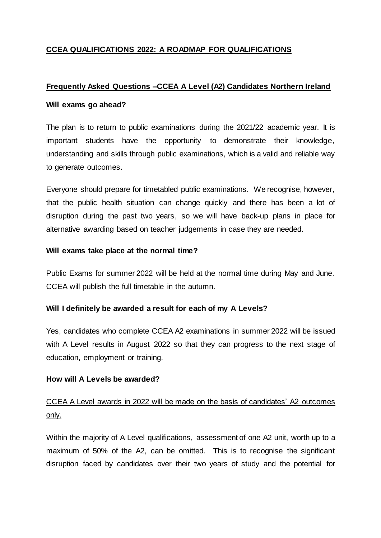# **CCEA QUALIFICATIONS 2022: A ROADMAP FOR QUALIFICATIONS**

# **Frequently Asked Questions –CCEA A Level (A2) Candidates Northern Ireland**

## **Will exams go ahead?**

The plan is to return to public examinations during the 2021/22 academic year. It is important students have the opportunity to demonstrate their knowledge, understanding and skills through public examinations, which is a valid and reliable way to generate outcomes.

Everyone should prepare for timetabled public examinations. We recognise, however, that the public health situation can change quickly and there has been a lot of disruption during the past two years, so we will have back-up plans in place for alternative awarding based on teacher judgements in case they are needed.

# **Will exams take place at the normal time?**

Public Exams for summer 2022 will be held at the normal time during May and June. CCEA will publish the full timetable in the autumn.

# **Will I definitely be awarded a result for each of my A Levels?**

Yes, candidates who complete CCEA A2 examinations in summer 2022 will be issued with A Level results in August 2022 so that they can progress to the next stage of education, employment or training.

# **How will A Levels be awarded?**

# CCEA A Level awards in 2022 will be made on the basis of candidates' A2 outcomes only.

Within the majority of A Level qualifications, assessment of one A2 unit, worth up to a maximum of 50% of the A2, can be omitted. This is to recognise the significant disruption faced by candidates over their two years of study and the potential for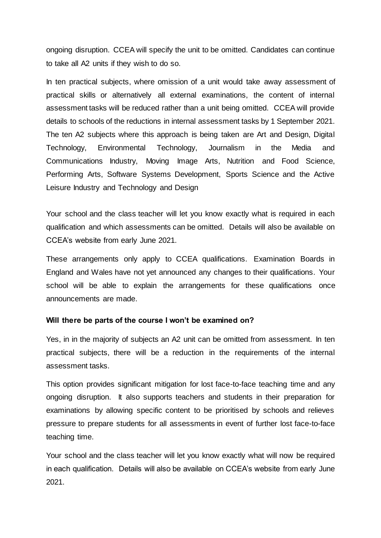ongoing disruption. CCEA will specify the unit to be omitted. Candidates can continue to take all A2 units if they wish to do so.

In ten practical subjects, where omission of a unit would take away assessment of practical skills or alternatively all external examinations, the content of internal assessment tasks will be reduced rather than a unit being omitted. CCEA will provide details to schools of the reductions in internal assessment tasks by 1 September 2021. The ten A2 subjects where this approach is being taken are Art and Design, Digital Technology, Environmental Technology, Journalism in the Media and Communications Industry, Moving Image Arts, Nutrition and Food Science, Performing Arts, Software Systems Development, Sports Science and the Active Leisure Industry and Technology and Design

Your school and the class teacher will let you know exactly what is required in each qualification and which assessments can be omitted. Details will also be available on CCEA's website from early June 2021.

These arrangements only apply to CCEA qualifications. Examination Boards in England and Wales have not yet announced any changes to their qualifications. Your school will be able to explain the arrangements for these qualifications once announcements are made.

### **Will there be parts of the course I won't be examined on?**

Yes, in in the majority of subjects an A2 unit can be omitted from assessment. In ten practical subjects, there will be a reduction in the requirements of the internal assessment tasks.

This option provides significant mitigation for lost face-to-face teaching time and any ongoing disruption. It also supports teachers and students in their preparation for examinations by allowing specific content to be prioritised by schools and relieves pressure to prepare students for all assessments in event of further lost face-to-face teaching time.

Your school and the class teacher will let you know exactly what will now be required in each qualification. Details will also be available on CCEA's website from early June 2021.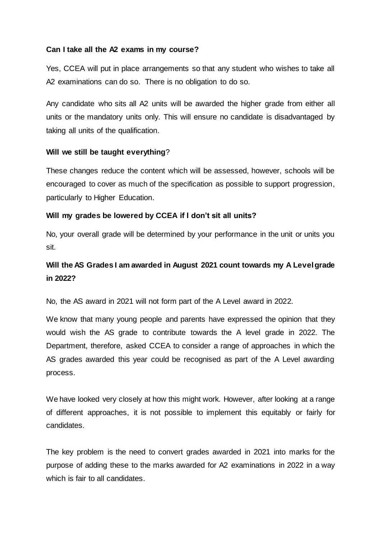# **Can I take all the A2 exams in my course?**

Yes, CCEA will put in place arrangements so that any student who wishes to take all A2 examinations can do so. There is no obligation to do so.

Any candidate who sits all A2 units will be awarded the higher grade from either all units or the mandatory units only. This will ensure no candidate is disadvantaged by taking all units of the qualification.

## **Will we still be taught everything**?

These changes reduce the content which will be assessed, however, schools will be encouraged to cover as much of the specification as possible to support progression, particularly to Higher Education.

## **Will my grades be lowered by CCEA if I don't sit all units?**

No, your overall grade will be determined by your performance in the unit or units you sit.

# **Will the AS Grades I am awarded in August 2021 count towards my A Level grade in 2022?**

No, the AS award in 2021 will not form part of the A Level award in 2022.

We know that many young people and parents have expressed the opinion that they would wish the AS grade to contribute towards the A level grade in 2022. The Department, therefore, asked CCEA to consider a range of approaches in which the AS grades awarded this year could be recognised as part of the A Level awarding process.

We have looked very closely at how this might work. However, after looking at a range of different approaches, it is not possible to implement this equitably or fairly for candidates.

The key problem is the need to convert grades awarded in 2021 into marks for the purpose of adding these to the marks awarded for A2 examinations in 2022 in a way which is fair to all candidates.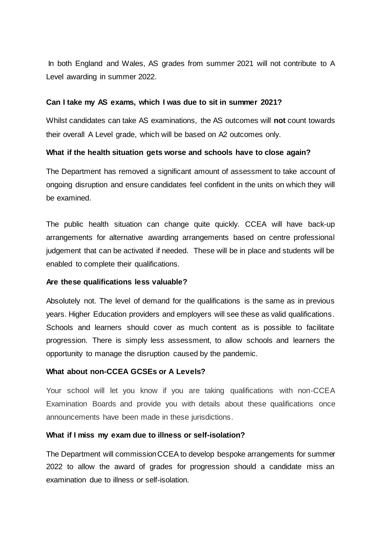In both England and Wales, AS grades from summer 2021 will not contribute to A Level awarding in summer 2022.

## **Can I take my AS exams, which I was due to sit in summer 2021?**

Whilst candidates can take AS examinations, the AS outcomes will **not** count towards their overall A Level grade, which will be based on A2 outcomes only.

### **What if the health situation gets worse and schools have to close again?**

The Department has removed a significant amount of assessment to take account of ongoing disruption and ensure candidates feel confident in the units on which they will be examined.

The public health situation can change quite quickly. CCEA will have back-up arrangements for alternative awarding arrangements based on centre professional judgement that can be activated if needed. These will be in place and students will be enabled to complete their qualifications.

### **Are these qualifications less valuable?**

Absolutely not. The level of demand for the qualifications is the same as in previous years. Higher Education providers and employers will see these as valid qualifications. Schools and learners should cover as much content as is possible to facilitate progression. There is simply less assessment, to allow schools and learners the opportunity to manage the disruption caused by the pandemic.

### **What about non-CCEA GCSEs or A Levels?**

Your school will let you know if you are taking qualifications with non-CCEA Examination Boards and provide you with details about these qualifications once announcements have been made in these jurisdictions.

### **What if I miss my exam due to illness or self-isolation?**

The Department will commission CCEA to develop bespoke arrangements for summer 2022 to allow the award of grades for progression should a candidate miss an examination due to illness or self-isolation.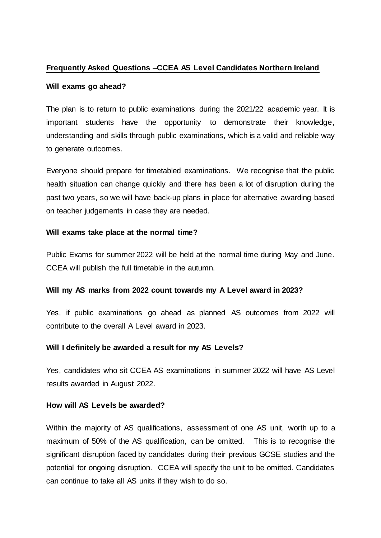# **Frequently Asked Questions –CCEA AS Level Candidates Northern Ireland**

# **Will exams go ahead?**

The plan is to return to public examinations during the 2021/22 academic year. It is important students have the opportunity to demonstrate their knowledge, understanding and skills through public examinations, which is a valid and reliable way to generate outcomes.

Everyone should prepare for timetabled examinations. We recognise that the public health situation can change quickly and there has been a lot of disruption during the past two years, so we will have back-up plans in place for alternative awarding based on teacher judgements in case they are needed.

# **Will exams take place at the normal time?**

Public Exams for summer 2022 will be held at the normal time during May and June. CCEA will publish the full timetable in the autumn.

# **Will my AS marks from 2022 count towards my A Level award in 2023?**

Yes, if public examinations go ahead as planned AS outcomes from 2022 will contribute to the overall A Level award in 2023.

# **Will I definitely be awarded a result for my AS Levels?**

Yes, candidates who sit CCEA AS examinations in summer 2022 will have AS Level results awarded in August 2022.

### **How will AS Levels be awarded?**

Within the majority of AS qualifications, assessment of one AS unit, worth up to a maximum of 50% of the AS qualification, can be omitted. This is to recognise the significant disruption faced by candidates during their previous GCSE studies and the potential for ongoing disruption. CCEA will specify the unit to be omitted. Candidates can continue to take all AS units if they wish to do so.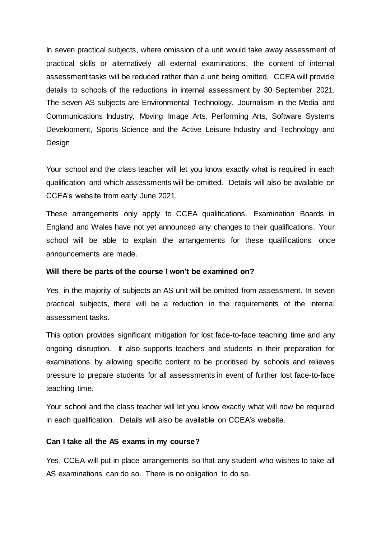In seven practical subjects, where omission of a unit would take away assessment of practical skills or alternatively all external examinations, the content of internal assessment tasks will be reduced rather than a unit being omitted. CCEA will provide details to schools of the reductions in internal assessment by 30 September 2021. The seven AS subjects are Environmental Technology, Journalism in the Media and Communications Industry, Moving Image Arts, Performing Arts, Software Systems Development, Sports Science and the Active Leisure Industry and Technology and Design

Your school and the class teacher will let you know exactly what is required in each qualification and which assessments will be omitted. Details will also be available on CCEA's website from early June 2021.

These arrangements only apply to CCEA qualifications. Examination Boards in England and Wales have not yet announced any changes to their qualifications. Your school will be able to explain the arrangements for these qualifications once announcements are made.

### **Will there be parts of the course I won't be examined on?**

Yes, in the majority of subjects an AS unit will be omitted from assessment. In seven practical subjects, there will be a reduction in the requirements of the internal assessment tasks.

This option provides significant mitigation for lost face-to-face teaching time and any ongoing disruption. It also supports teachers and students in their preparation for examinations by allowing specific content to be prioritised by schools and relieves pressure to prepare students for all assessments in event of further lost face-to-face teaching time.

Your school and the class teacher will let you know exactly what will now be required in each qualification. Details will also be available on CCEA's website.

#### **Can I take all the AS exams in my course?**

Yes, CCEA will put in place arrangements so that any student who wishes to take all AS examinations can do so. There is no obligation to do so.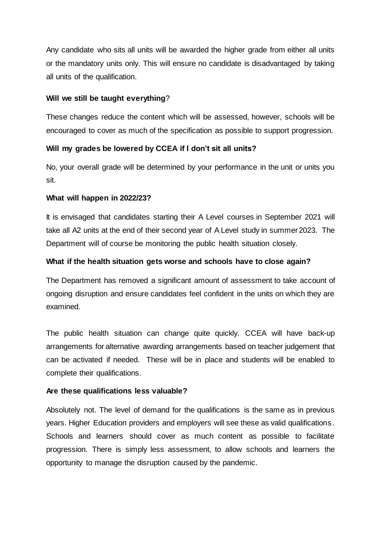Any candidate who sits all units will be awarded the higher grade from either all units or the mandatory units only. This will ensure no candidate is disadvantaged by taking all units of the qualification.

# **Will we still be taught everything**?

These changes reduce the content which will be assessed, however, schools will be encouraged to cover as much of the specification as possible to support progression.

# **Will my grades be lowered by CCEA if I don't sit all units?**

No, your overall grade will be determined by your performance in the unit or units you sit.

# **What will happen in 2022/23?**

It is envisaged that candidates starting their A Level courses in September 2021 will take all A2 units at the end of their second year of A Level study in summer 2023. The Department will of course be monitoring the public health situation closely.

# **What if the health situation gets worse and schools have to close again?**

The Department has removed a significant amount of assessment to take account of ongoing disruption and ensure candidates feel confident in the units on which they are examined.

The public health situation can change quite quickly. CCEA will have back-up arrangements for alternative awarding arrangements based on teacher judgement that can be activated if needed. These will be in place and students will be enabled to complete their qualifications.

# **Are these qualifications less valuable?**

Absolutely not. The level of demand for the qualifications is the same as in previous years. Higher Education providers and employers will see these as valid qualifications. Schools and learners should cover as much content as possible to facilitate progression. There is simply less assessment, to allow schools and learners the opportunity to manage the disruption caused by the pandemic.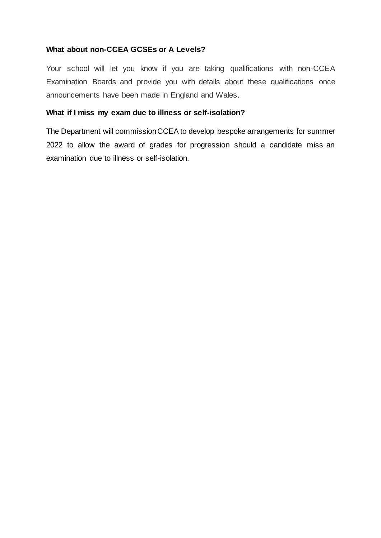# **What about non-CCEA GCSEs or A Levels?**

Your school will let you know if you are taking qualifications with non-CCEA Examination Boards and provide you with details about these qualifications once announcements have been made in England and Wales.

# **What if I miss my exam due to illness or self-isolation?**

The Department will commission CCEA to develop bespoke arrangements for summer 2022 to allow the award of grades for progression should a candidate miss an examination due to illness or self-isolation.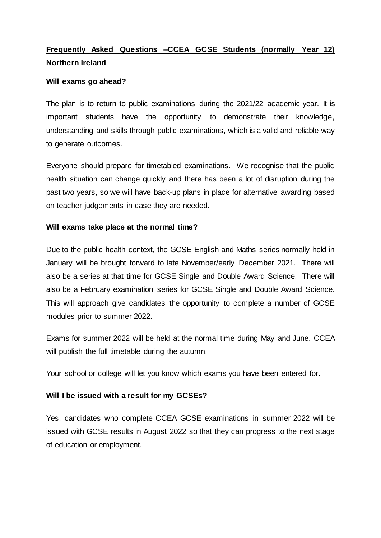# **Frequently Asked Questions –CCEA GCSE Students (normally Year 12) Northern Ireland**

## **Will exams go ahead?**

The plan is to return to public examinations during the 2021/22 academic year. It is important students have the opportunity to demonstrate their knowledge, understanding and skills through public examinations, which is a valid and reliable way to generate outcomes.

Everyone should prepare for timetabled examinations. We recognise that the public health situation can change quickly and there has been a lot of disruption during the past two years, so we will have back-up plans in place for alternative awarding based on teacher judgements in case they are needed.

## **Will exams take place at the normal time?**

Due to the public health context, the GCSE English and Maths series normally held in January will be brought forward to late November/early December 2021. There will also be a series at that time for GCSE Single and Double Award Science. There will also be a February examination series for GCSE Single and Double Award Science. This will approach give candidates the opportunity to complete a number of GCSE modules prior to summer 2022.

Exams for summer 2022 will be held at the normal time during May and June. CCEA will publish the full timetable during the autumn.

Your school or college will let you know which exams you have been entered for.

# **Will I be issued with a result for my GCSEs?**

Yes, candidates who complete CCEA GCSE examinations in summer 2022 will be issued with GCSE results in August 2022 so that they can progress to the next stage of education or employment.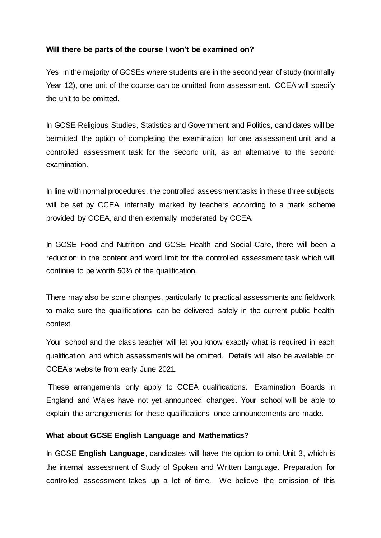# **Will there be parts of the course I won't be examined on?**

Yes, in the majority of GCSEs where students are in the second year of study (normally Year 12), one unit of the course can be omitted from assessment. CCEA will specify the unit to be omitted.

In GCSE Religious Studies, Statistics and Government and Politics, candidates will be permitted the option of completing the examination for one assessment unit and a controlled assessment task for the second unit, as an alternative to the second examination.

In line with normal procedures, the controlled assessment tasks in these three subjects will be set by CCEA, internally marked by teachers according to a mark scheme provided by CCEA, and then externally moderated by CCEA.

In GCSE Food and Nutrition and GCSE Health and Social Care, there will been a reduction in the content and word limit for the controlled assessment task which will continue to be worth 50% of the qualification.

There may also be some changes, particularly to practical assessments and fieldwork to make sure the qualifications can be delivered safely in the current public health context.

Your school and the class teacher will let you know exactly what is required in each qualification and which assessments will be omitted. Details will also be available on CCEA's website from early June 2021.

These arrangements only apply to CCEA qualifications. Examination Boards in England and Wales have not yet announced changes. Your school will be able to explain the arrangements for these qualifications once announcements are made.

### **What about GCSE English Language and Mathematics?**

In GCSE **English Language**, candidates will have the option to omit Unit 3, which is the internal assessment of Study of Spoken and Written Language. Preparation for controlled assessment takes up a lot of time. We believe the omission of this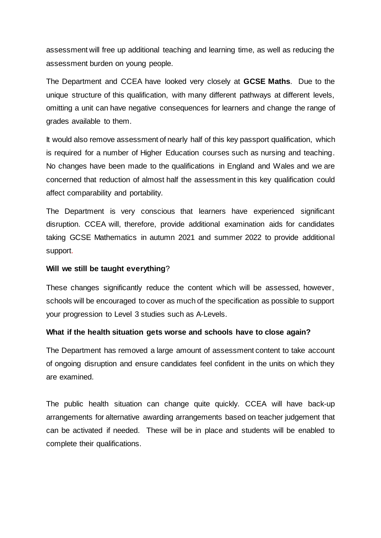assessment will free up additional teaching and learning time, as well as reducing the assessment burden on young people.

The Department and CCEA have looked very closely at **GCSE Maths**. Due to the unique structure of this qualification, with many different pathways at different levels, omitting a unit can have negative consequences for learners and change the range of grades available to them.

It would also remove assessment of nearly half of this key passport qualification, which is required for a number of Higher Education courses such as nursing and teaching. No changes have been made to the qualifications in England and Wales and we are concerned that reduction of almost half the assessment in this key qualification could affect comparability and portability.

The Department is very conscious that learners have experienced significant disruption. CCEA will, therefore, provide additional examination aids for candidates taking GCSE Mathematics in autumn 2021 and summer 2022 to provide additional support.

## **Will we still be taught everything**?

These changes significantly reduce the content which will be assessed, however, schools will be encouraged to cover as much of the specification as possible to support your progression to Level 3 studies such as A-Levels.

# **What if the health situation gets worse and schools have to close again?**

The Department has removed a large amount of assessment content to take account of ongoing disruption and ensure candidates feel confident in the units on which they are examined.

The public health situation can change quite quickly. CCEA will have back-up arrangements for alternative awarding arrangements based on teacher judgement that can be activated if needed. These will be in place and students will be enabled to complete their qualifications.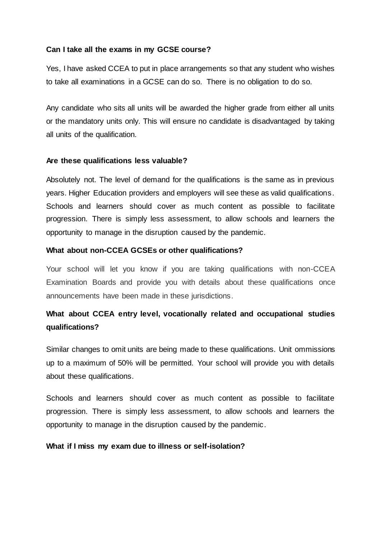# **Can I take all the exams in my GCSE course?**

Yes, I have asked CCEA to put in place arrangements so that any student who wishes to take all examinations in a GCSE can do so. There is no obligation to do so.

Any candidate who sits all units will be awarded the higher grade from either all units or the mandatory units only. This will ensure no candidate is disadvantaged by taking all units of the qualification.

### **Are these qualifications less valuable?**

Absolutely not. The level of demand for the qualifications is the same as in previous years. Higher Education providers and employers will see these as valid qualifications. Schools and learners should cover as much content as possible to facilitate progression. There is simply less assessment, to allow schools and learners the opportunity to manage in the disruption caused by the pandemic.

### **What about non-CCEA GCSEs or other qualifications?**

Your school will let you know if you are taking qualifications with non-CCEA Examination Boards and provide you with details about these qualifications once announcements have been made in these jurisdictions.

# **What about CCEA entry level, vocationally related and occupational studies qualifications?**

Similar changes to omit units are being made to these qualifications. Unit ommissions up to a maximum of 50% will be permitted. Your school will provide you with details about these qualifications.

Schools and learners should cover as much content as possible to facilitate progression. There is simply less assessment, to allow schools and learners the opportunity to manage in the disruption caused by the pandemic.

### **What if I miss my exam due to illness or self-isolation?**